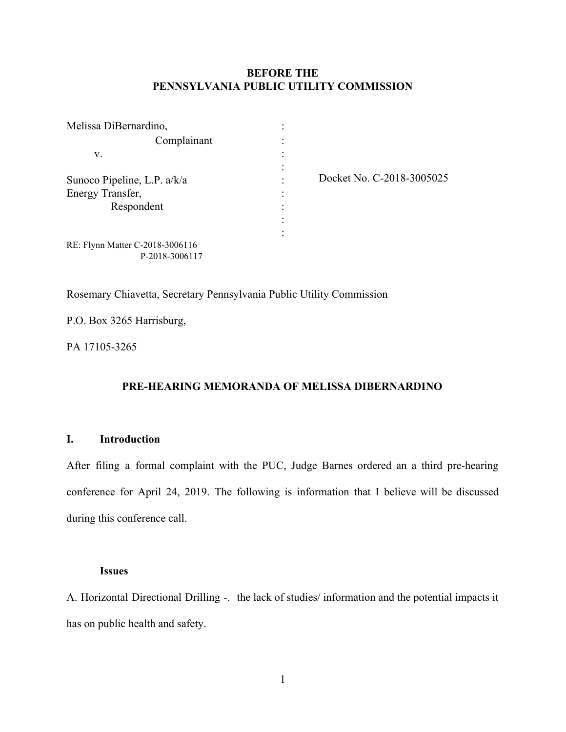# **BEFORE THE PENNSYLVANIA PUBLIC UTILITY COMMISSION**

| Melissa DiBernardino,           |  |
|---------------------------------|--|
| Complainant                     |  |
| V.                              |  |
|                                 |  |
| Sunoco Pipeline, L.P. a/k/a     |  |
| Energy Transfer,                |  |
| Respondent                      |  |
|                                 |  |
|                                 |  |
| RE: Flynn Matter C-2018-3006116 |  |
| P-2018-3006117                  |  |

Docket No. C-2018-3005025

Rosemary Chiavetta, Secretary Pennsylvania Public Utility Commission

P.O. Box 3265 Harrisburg,

PA 17105-3265

# **PRE-HEARING MEMORANDA OF MELISSA DIBERNARDINO**

# **I. Introduction**

After filing a formal complaint with the PUC, Judge Barnes ordered an a third pre-hearing conference for April 24, 2019. The following is information that I believe will be discussed during this conference call.

#### **Issues**

A. Horizontal Directional Drilling -. the lack of studies/ information and the potential impacts it has on public health and safety.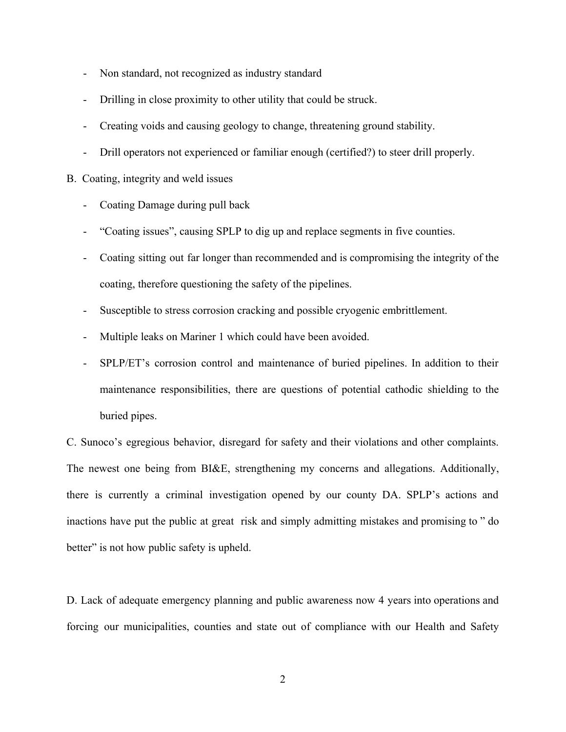- Non standard, not recognized as industry standard
- Drilling in close proximity to other utility that could be struck.
- Creating voids and causing geology to change, threatening ground stability.
- Drill operators not experienced or familiar enough (certified?) to steer drill properly.

## B. Coating, integrity and weld issues

- Coating Damage during pull back
- "Coating issues", causing SPLP to dig up and replace segments in five counties.
- Coating sitting out far longer than recommended and is compromising the integrity of the coating, therefore questioning the safety of the pipelines.
- Susceptible to stress corrosion cracking and possible cryogenic embrittlement.
- Multiple leaks on Mariner 1 which could have been avoided.
- SPLP/ET's corrosion control and maintenance of buried pipelines. In addition to their maintenance responsibilities, there are questions of potential cathodic shielding to the buried pipes.

C. Sunoco's egregious behavior, disregard for safety and their violations and other complaints. The newest one being from BI&E, strengthening my concerns and allegations. Additionally, there is currently a criminal investigation opened by our county DA. SPLP's actions and inactions have put the public at great risk and simply admitting mistakes and promising to " do better" is not how public safety is upheld.

D. Lack of adequate emergency planning and public awareness now 4 years into operations and forcing our municipalities, counties and state out of compliance with our Health and Safety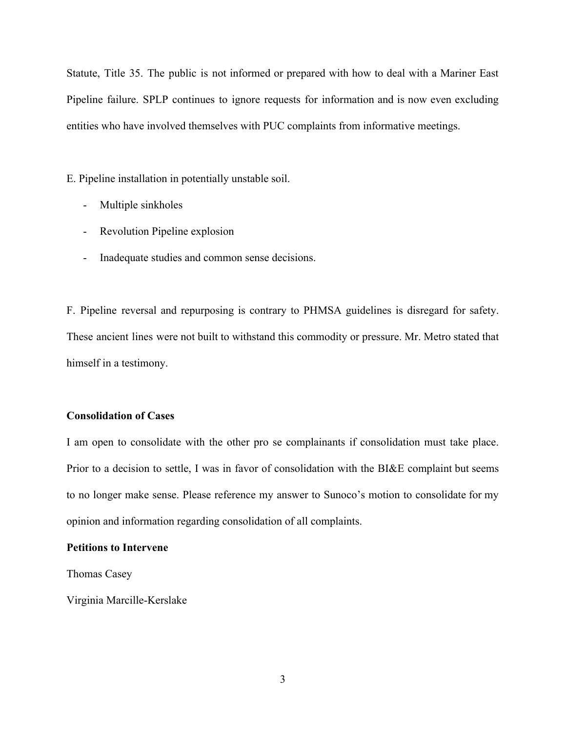Statute, Title 35. The public is not informed or prepared with how to deal with a Mariner East Pipeline failure. SPLP continues to ignore requests for information and is now even excluding entities who have involved themselves with PUC complaints from informative meetings.

E. Pipeline installation in potentially unstable soil.

- Multiple sinkholes
- Revolution Pipeline explosion
- Inadequate studies and common sense decisions.

F. Pipeline reversal and repurposing is contrary to PHMSA guidelines is disregard for safety. These ancient lines were not built to withstand this commodity or pressure. Mr. Metro stated that himself in a testimony.

## **Consolidation of Cases**

I am open to consolidate with the other pro se complainants if consolidation must take place. Prior to a decision to settle, I was in favor of consolidation with the BI&E complaint but seems to no longer make sense. Please reference my answer to Sunoco's motion to consolidate for my opinion and information regarding consolidation of all complaints.

### **Petitions to Intervene**

Thomas Casey

Virginia Marcille-Kerslake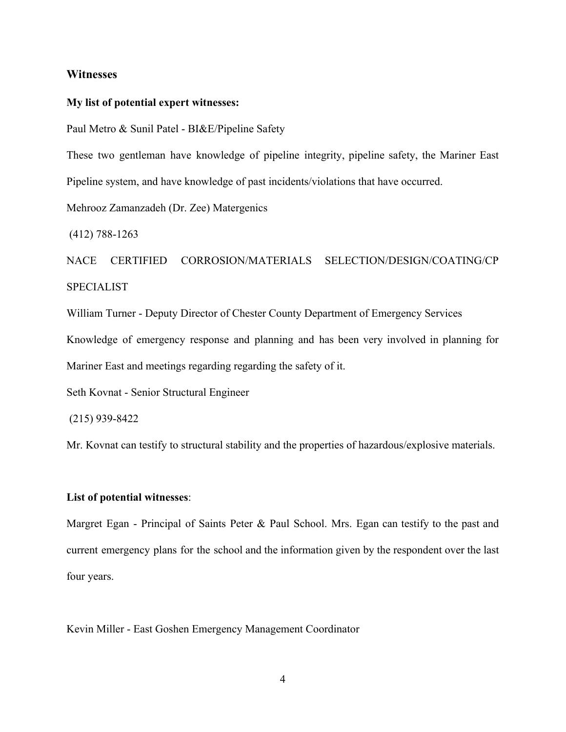## **Witnesses**

#### **My list of potential expert witnesses:**

Paul Metro & Sunil Patel - BI&E/Pipeline Safety

These two gentleman have knowledge of pipeline integrity, pipeline safety, the Mariner East Pipeline system, and have knowledge of past incidents/violations that have occurred.

Mehrooz Zamanzadeh (Dr. Zee) Matergenics

(412) 788-1263

NACE CERTIFIED CORROSION/MATERIALS SELECTION/DESIGN/COATING/CP SPECIALIST

William Turner - Deputy Director of Chester County Department of Emergency Services Knowledge of emergency response and planning and has been very involved in planning for Mariner East and meetings regarding regarding the safety of it.

Seth Kovnat - Senior Structural Engineer

(215) 939-8422

Mr. Kovnat can testify to structural stability and the properties of hazardous/explosive materials.

## **List of potential witnesses**:

Margret Egan - Principal of Saints Peter & Paul School. Mrs. Egan can testify to the past and current emergency plans for the school and the information given by the respondent over the last four years.

Kevin Miller - East Goshen Emergency Management Coordinator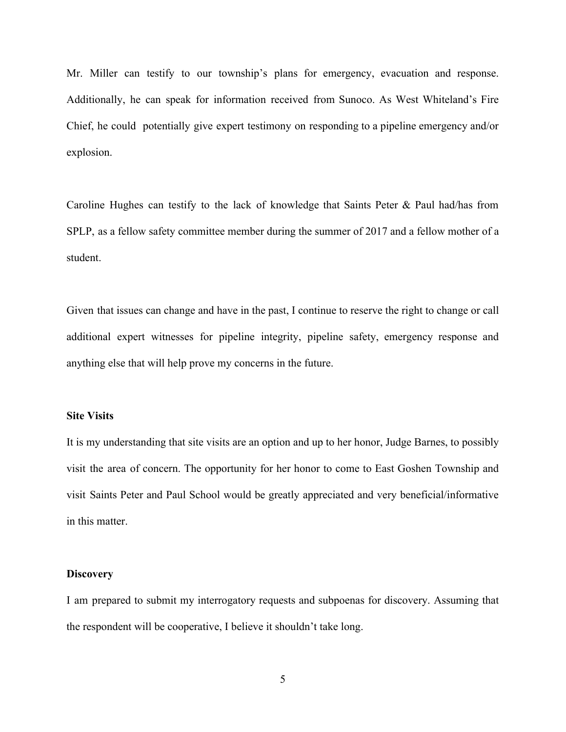Mr. Miller can testify to our township's plans for emergency, evacuation and response. Additionally, he can speak for information received from Sunoco. As West Whiteland's Fire Chief, he could potentially give expert testimony on responding to a pipeline emergency and/or explosion.

Caroline Hughes can testify to the lack of knowledge that Saints Peter & Paul had/has from SPLP, as a fellow safety committee member during the summer of 2017 and a fellow mother of a student.

Given that issues can change and have in the past, I continue to reserve the right to change or call additional expert witnesses for pipeline integrity, pipeline safety, emergency response and anything else that will help prove my concerns in the future.

### **Site Visits**

It is my understanding that site visits are an option and up to her honor, Judge Barnes, to possibly visit the area of concern. The opportunity for her honor to come to East Goshen Township and visit Saints Peter and Paul School would be greatly appreciated and very beneficial/informative in this matter.

## **Discovery**

I am prepared to submit my interrogatory requests and subpoenas for discovery. Assuming that the respondent will be cooperative, I believe it shouldn't take long.

5